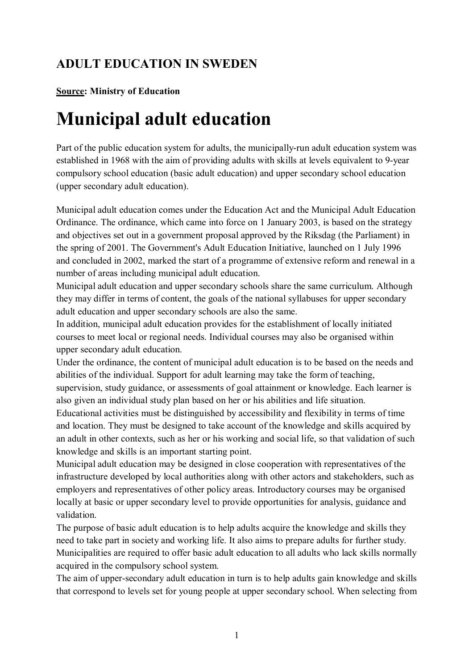## **ADULT EDUCATION IN SWEDEN**

## **Source: Ministry of Education**

## **Municipal adult education**

Part of the public education system for adults, the municipally-run adult education system was established in 1968 with the aim of providing adults with skills at levels equivalent to 9-year compulsory school education (basic adult education) and upper secondary school education (upper secondary adult education).

Municipal adult education comes under the Education Act and the Municipal Adult Education Ordinance. The ordinance, which came into force on 1 January 2003, is based on the strategy and objectives set out in a government proposal approved by the Riksdag (the Parliament) in the spring of 2001. The Government's Adult Education Initiative, launched on 1 July 1996 and concluded in 2002, marked the start of a programme of extensive reform and renewal in a number of areas including municipal adult education.

Municipal adult education and upper secondary schools share the same curriculum. Although they may differ in terms of content, the goals of the national syllabuses for upper secondary adult education and upper secondary schools are also the same.

In addition, municipal adult education provides for the establishment of locally initiated courses to meet local or regional needs. Individual courses may also be organised within upper secondary adult education.

Under the ordinance, the content of municipal adult education is to be based on the needs and abilities of the individual. Support for adult learning may take the form of teaching, supervision, study guidance, or assessments of goal attainment or knowledge. Each learner is

also given an individual study plan based on her or his abilities and life situation.

Educational activities must be distinguished by accessibility and flexibility in terms of time and location. They must be designed to take account of the knowledge and skills acquired by an adult in other contexts, such as her or his working and social life, so that validation of such knowledge and skills is an important starting point.

Municipal adult education may be designed in close cooperation with representatives of the infrastructure developed by local authorities along with other actors and stakeholders, such as employers and representatives of other policy areas. Introductory courses may be organised locally at basic or upper secondary level to provide opportunities for analysis, guidance and validation.

The purpose of basic adult education is to help adults acquire the knowledge and skills they need to take part in society and working life. It also aims to prepare adults for further study. Municipalities are required to offer basic adult education to all adults who lack skills normally acquired in the compulsory school system.

The aim of upper-secondary adult education in turn is to help adults gain knowledge and skills that correspond to levels set for young people at upper secondary school. When selecting from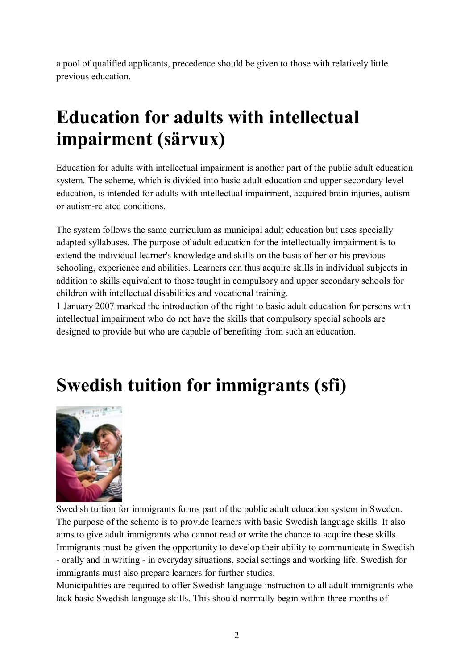a pool of qualified applicants, precedence should be given to those with relatively little previous education.

## **Education for adults with intellectual impairment (särvux)**

Education for adults with intellectual impairment is another part of the public adult education system. The scheme, which is divided into basic adult education and upper secondary level education, is intended for adults with intellectual impairment, acquired brain injuries, autism or autism-related conditions.

The system follows the same curriculum as municipal adult education but uses specially adapted syllabuses. The purpose of adult education for the intellectually impairment is to extend the individual learner's knowledge and skills on the basis of her or his previous schooling, experience and abilities. Learners can thus acquire skills in individual subjects in addition to skills equivalent to those taught in compulsory and upper secondary schools for children with intellectual disabilities and vocational training.

1 January 2007 marked the introduction of the right to basic adult education for persons with intellectual impairment who do not have the skills that compulsory special schools are designed to provide but who are capable of benefiting from such an education.

# **Swedish tuition for immigrants (sfi)**



Swedish tuition for immigrants forms part of the public adult education system in Sweden. The purpose of the scheme is to provide learners with basic Swedish language skills. It also aims to give adult immigrants who cannot read or write the chance to acquire these skills. Immigrants must be given the opportunity to develop their ability to communicate in Swedish - orally and in writing - in everyday situations, social settings and working life. Swedish for immigrants must also prepare learners for further studies.

Municipalities are required to offer Swedish language instruction to all adult immigrants who lack basic Swedish language skills. This should normally begin within three months of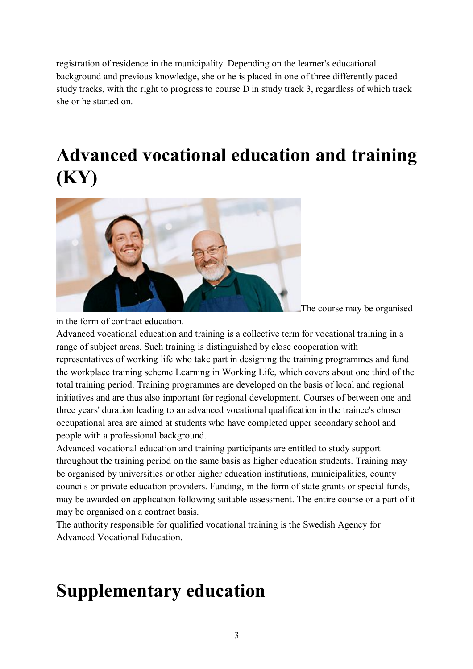registration of residence in the municipality. Depending on the learner's educational background and previous knowledge, she or he is placed in one of three differently paced study tracks, with the right to progress to course D in study track 3, regardless of which track she or he started on.

## **Advanced vocational education and training (KY)**



The course may be organised

in the form of contract education.

Advanced vocational education and training is a collective term for vocational training in a range of subject areas. Such training is distinguished by close cooperation with representatives of working life who take part in designing the training programmes and fund the workplace training scheme Learning in Working Life, which covers about one third of the total training period. Training programmes are developed on the basis of local and regional initiatives and are thus also important for regional development. Courses of between one and three years' duration leading to an advanced vocational qualification in the trainee's chosen occupational area are aimed at students who have completed upper secondary school and people with a professional background.

Advanced vocational education and training participants are entitled to study support throughout the training period on the same basis as higher education students. Training may be organised by universities or other higher education institutions, municipalities, county councils or private education providers. Funding, in the form of state grants or special funds, may be awarded on application following suitable assessment. The entire course or a part of it may be organised on a contract basis.

The authority responsible for qualified vocational training is the Swedish Agency for Advanced Vocational Education.

## **Supplementary education**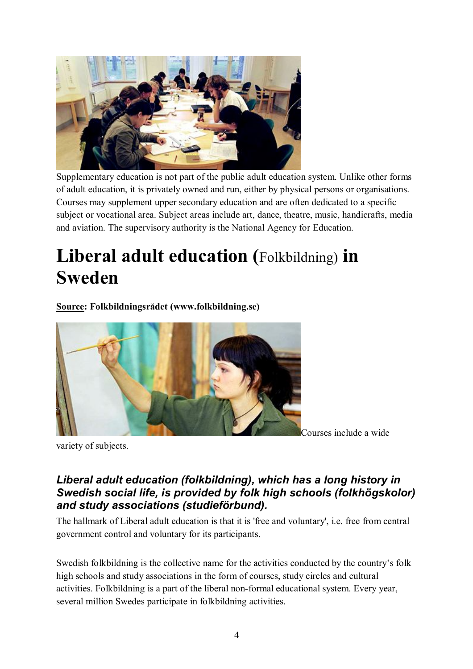

Supplementary education is not part of the public adult education system. Unlike other forms of adult education, it is privately owned and run, either by physical persons or organisations. Courses may supplement upper secondary education and are often dedicated to a specific subject or vocational area. Subject areas include art, dance, theatre, music, handicrafts, media and aviation. The supervisory authority is the National Agency for Education.

## **Liberal adult education (**Folkbildning) **in Sweden**

**Source: Folkbildningsrådet (www.folkbildning.se)**



variety of subjects.

## *Liberal adult education (folkbildning), which has a long history in Swedish social life, is provided by folk high schools (folkhögskolor) and study associations (studieförbund).*

The hallmark of Liberal adult education is that it is 'free and voluntary', i.e. free from central government control and voluntary for its participants.

Swedish folkbildning is the collective name for the activities conducted by the country's folk high schools and study associations in the form of courses, study circles and cultural activities. Folkbildning is a part of the liberal non-formal educational system. Every year, several million Swedes participate in folkbildning activities.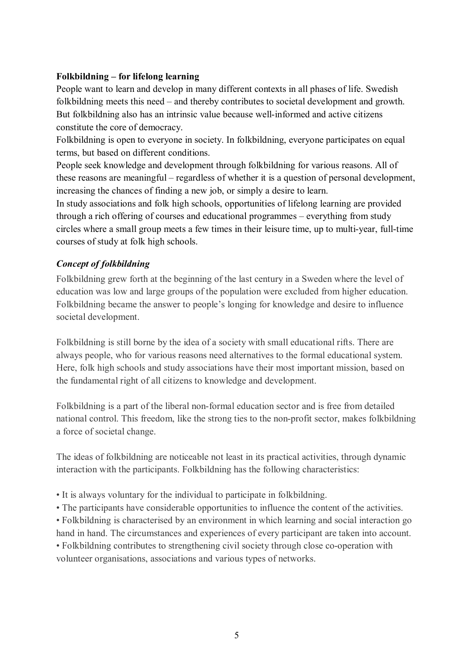### **Folkbildning – for lifelong learning**

People want to learn and develop in many different contexts in all phases of life. Swedish folkbildning meets this need – and thereby contributes to societal development and growth. But folkbildning also has an intrinsic value because well-informed and active citizens constitute the core of democracy.

Folkbildning is open to everyone in society. In folkbildning, everyone participates on equal terms, but based on different conditions.

People seek knowledge and development through folkbildning for various reasons. All of these reasons are meaningful – regardless of whether it is a question of personal development, increasing the chances of finding a new job, or simply a desire to learn.

In study associations and folk high schools, opportunities of lifelong learning are provided through a rich offering of courses and educational programmes – everything from study circles where a small group meets a few times in their leisure time, up to multi-year, full-time courses of study at folk high schools.

### *Concept of folkbildning*

Folkbildning grew forth at the beginning of the last century in a Sweden where the level of education was low and large groups of the population were excluded from higher education. Folkbildning became the answer to people's longing for knowledge and desire to influence societal development.

Folkbildning is still borne by the idea of a society with small educational rifts. There are always people, who for various reasons need alternatives to the formal educational system. Here, folk high schools and study associations have their most important mission, based on the fundamental right of all citizens to knowledge and development.

Folkbildning is a part of the liberal non-formal education sector and is free from detailed national control. This freedom, like the strong ties to the non-profit sector, makes folkbildning a force of societal change.

The ideas of folkbildning are noticeable not least in its practical activities, through dynamic interaction with the participants. Folkbildning has the following characteristics:

- It is always voluntary for the individual to participate in folkbildning.
- The participants have considerable opportunities to influence the content of the activities.
- Folkbildning is characterised by an environment in which learning and social interaction go hand in hand. The circumstances and experiences of every participant are taken into account.

• Folkbildning contributes to strengthening civil society through close co-operation with volunteer organisations, associations and various types of networks.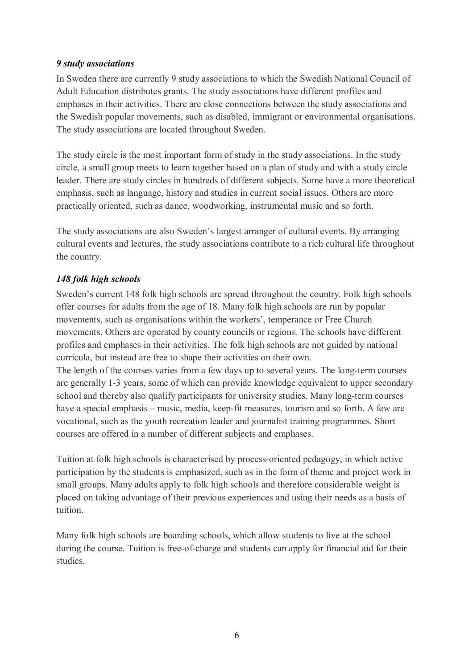### *9 study associations*

In Sweden there are currently 9 study associations to which the Swedish National Council of Adult Education distributes grants. The study associations have different profiles and emphases in their activities. There are close connections between the study associations and the Swedish popular movements, such as disabled, immigrant or environmental organisations. The study associations are located throughout Sweden.

The study circle is the most important form of study in the study associations. In the study circle, a small group meets to learn together based on a plan of study and with a study circle leader. There are study circles in hundreds of different subjects. Some have a more theoretical emphasis, such as language, history and studies in current social issues. Others are more practically oriented, such as dance, woodworking, instrumental music and so forth.

The study associations are also Sweden's largest arranger of cultural events. By arranging cultural events and lectures, the study associations contribute to a rich cultural life throughout the country.

### *148 folk high schools*

Sweden's current 148 folk high schools are spread throughout the country. Folk high schools offer courses for adults from the age of 18. Many folk high schools are run by popular movements, such as organisations within the workers', temperance or Free Church movements. Others are operated by county councils or regions. The schools have different profiles and emphases in their activities. The folk high schools are not guided by national curricula, but instead are free to shape their activities on their own.

The length of the courses varies from a few days up to several years. The long-term courses are generally 1-3 years, some of which can provide knowledge equivalent to upper secondary school and thereby also qualify participants for university studies. Many long-term courses have a special emphasis – music, media, keep-fit measures, tourism and so forth. A few are vocational, such as the youth recreation leader and journalist training programmes. Short courses are offered in a number of different subjects and emphases.

Tuition at folk high schools is characterised by process-oriented pedagogy, in which active participation by the students is emphasized, such as in the form of theme and project work in small groups. Many adults apply to folk high schools and therefore considerable weight is placed on taking advantage of their previous experiences and using their needs as a basis of tuition.

Many folk high schools are boarding schools, which allow students to live at the school during the course. Tuition is free-of-charge and students can apply for financial aid for their studies.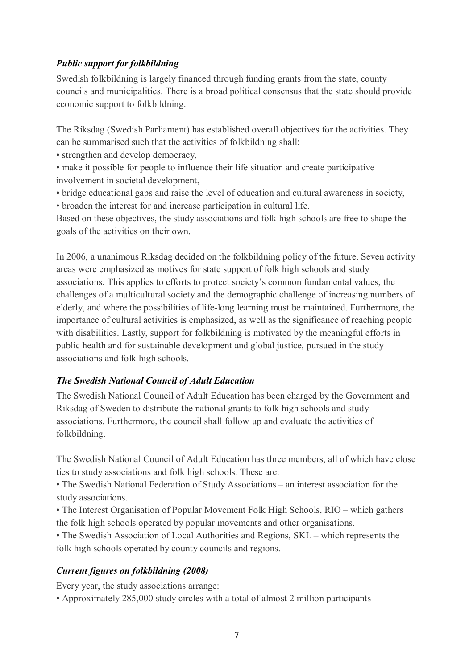## *Public support for folkbildning*

Swedish folkbildning is largely financed through funding grants from the state, county councils and municipalities. There is a broad political consensus that the state should provide economic support to folkbildning.

The Riksdag (Swedish Parliament) has established overall objectives for the activities. They can be summarised such that the activities of folkbildning shall:

- strengthen and develop democracy,
- make it possible for people to influence their life situation and create participative involvement in societal development,
- bridge educational gaps and raise the level of education and cultural awareness in society,
- broaden the interest for and increase participation in cultural life.

Based on these objectives, the study associations and folk high schools are free to shape the goals of the activities on their own.

In 2006, a unanimous Riksdag decided on the folkbildning policy of the future. Seven activity areas were emphasized as motives for state support of folk high schools and study associations. This applies to efforts to protect society's common fundamental values, the challenges of a multicultural society and the demographic challenge of increasing numbers of elderly, and where the possibilities of life-long learning must be maintained. Furthermore, the importance of cultural activities is emphasized, as well as the significance of reaching people with disabilities. Lastly, support for folkbildning is motivated by the meaningful efforts in public health and for sustainable development and global justice, pursued in the study associations and folk high schools.

### *The Swedish National Council of Adult Education*

The Swedish National Council of Adult Education has been charged by the Government and Riksdag of Sweden to distribute the national grants to folk high schools and study associations. Furthermore, the council shall follow up and evaluate the activities of folkbildning.

The Swedish National Council of Adult Education has three members, all of which have close ties to study associations and folk high schools. These are:

• The Swedish National Federation of Study Associations – an interest association for the study associations.

• The Interest Organisation of Popular Movement Folk High Schools, RIO – which gathers the folk high schools operated by popular movements and other organisations.

• The Swedish Association of Local Authorities and Regions, SKL – which represents the folk high schools operated by county councils and regions.

### *Current figures on folkbildning (2008)*

Every year, the study associations arrange:

• Approximately 285,000 study circles with a total of almost 2 million participants